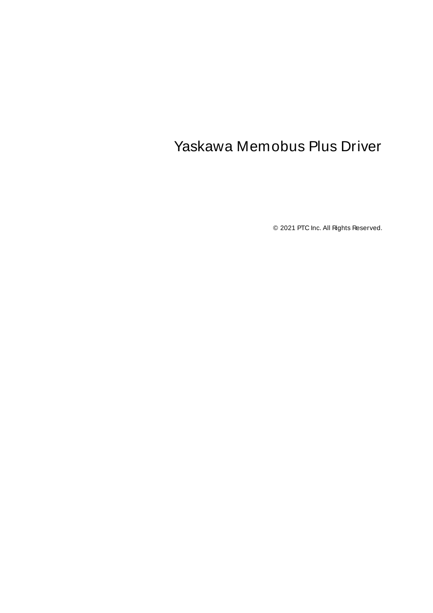# <span id="page-0-0"></span>Yaskawa Memobus Plus Driver

© 2021 PTC Inc. All Rights Reserved.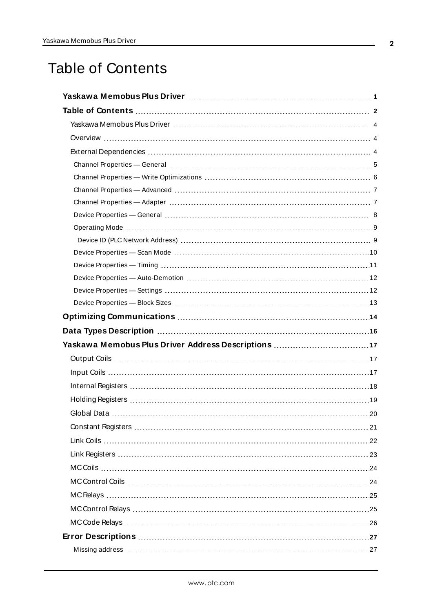# <span id="page-1-0"></span>Table of Contents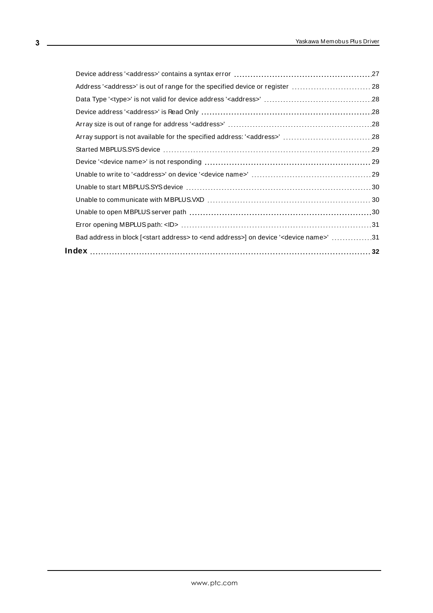| Address' <address>' is out of range for the specified device or register  28</address>                                |  |
|-----------------------------------------------------------------------------------------------------------------------|--|
|                                                                                                                       |  |
|                                                                                                                       |  |
|                                                                                                                       |  |
|                                                                                                                       |  |
|                                                                                                                       |  |
|                                                                                                                       |  |
|                                                                                                                       |  |
|                                                                                                                       |  |
|                                                                                                                       |  |
|                                                                                                                       |  |
|                                                                                                                       |  |
| Bad address in block [ <start address=""> to <end address="">] on device '<device name="">' 31</device></end></start> |  |
|                                                                                                                       |  |
|                                                                                                                       |  |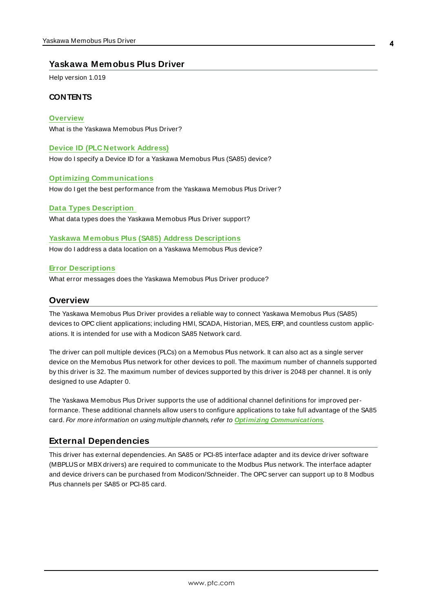## <span id="page-3-0"></span>**Yaskawa Memobus Plus Driver**

Help version 1.019

### **CONTENTS**

### **[Overview](#page-3-1)**

What is the Yaskawa Memobus Plus Driver?

### **Device ID (PLC [Network](#page-8-1) Address)**

How do I specify a Device ID for a Yaskawa Memobus Plus (SA85) device?

### **Optimizing [Communications](#page-13-0)**

How do I get the best performance from the Yaskawa Memobus Plus Driver?

### **Data Types [Description](#page-15-0)**

What data types does the Yaskawa Memobus Plus Driver support?

### **Yaskawa [M emobus](#page-16-0) Plus (SA85) Address Descriptions**

How do I address a data location on a Yaskawa Memobus Plus device?

### **Error [Descriptions](#page-26-0)**

<span id="page-3-1"></span>What error messages does the Yaskawa Memobus Plus Driver produce?

### **Overview**

The Yaskawa Memobus Plus Driver provides a reliable way to connect Yaskawa Memobus Plus (SA85) devices to OPC client applications; including HMI, SCADA, Historian, MES, ERP, and countless custom applications. It is intended for use with a Modicon SA85 Network card.

The driver can poll multiple devices (PLCs) on a Memobus Plus network. It can also act as a single server device on the Memobus Plus network for other devices to poll. The maximum number of channels supported by this driver is 32. The maximum number of devices supported by this driver is 2048 per channel. It is only designed to use Adapter 0.

The Yaskawa Memobus Plus Driver supports the use of additional channel definitions for improved performance. These additional channels allow users to configure applications to take full advantage of the SA85 card. For more information on using multiple channels, refer to **Optimizing [Communications](#page-13-0)**.

## <span id="page-3-2"></span>**External Dependencies**

This driver has external dependencies. An SA85 or PCI-85 interface adapter and its device driver software (MBPLUSor MBXdrivers) are required to communicate to the Modbus Plus network. The interface adapter and device drivers can be purchased from Modicon/Schneider. The OPC server can support up to 8 Modbus Plus channels per SA85 or PCI-85 card.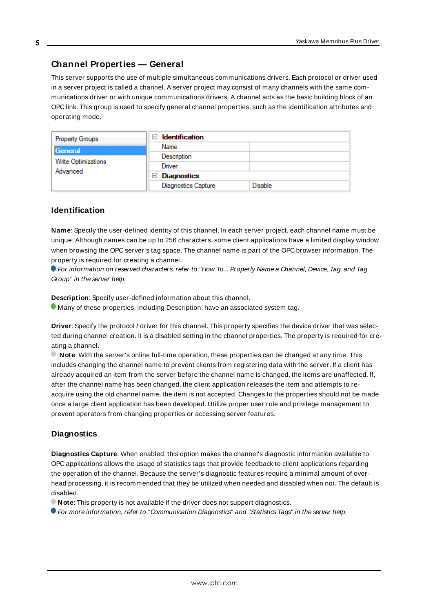## <span id="page-4-0"></span>**Channel Properties — General**

This server supports the use of multiple simultaneous communications drivers. Each protocol or driver used in a server project is called a channel. A server project may consist of many channels with the same communications driver or with unique communications drivers. A channel acts as the basic building block of an OPC link. This group is used to specify general channel properties, such as the identification attributes and operating mode.

| Property Groups                 | <b>Identification</b><br>$-$ |         |
|---------------------------------|------------------------------|---------|
| General                         | Name                         |         |
|                                 | Description                  |         |
| Write Optimizations<br>Advanced | Driver                       |         |
|                                 | Diagnostics<br>$\equiv$      |         |
|                                 | <b>Diagnostics Capture</b>   | Disable |

### **Identification**

**Name**: Specify the user-defined identity of this channel. In each server project, each channel name must be unique. Although names can be up to 256 characters, some client applications have a limited display window when browsing the OPC server's tag space. The channel name is part of the OPC browser information. The property is required for creating a channel.

For information on reserved characters, refer to "How To... Properly Name a Channel, Device, Tag, and Tag Group" in the server help.

**Description**: Specify user-defined information about this channel.

Many of these properties, including Description, have an associated system tag.

**Driver**: Specify the protocol / driver for this channel. This property specifies the device driver that was selected during channel creation. It is a disabled setting in the channel properties. The property is required for creating a channel.

**Note**: With the server's online full-time operation, these properties can be changed at any time. This includes changing the channel name to prevent clients from registering data with the server. If a client has already acquired an item from the server before the channel name is changed, the items are unaffected. If, after the channel name has been changed, the client application releases the item and attempts to reacquire using the old channel name, the item is not accepted. Changes to the properties should not be made once a large client application has been developed. Utilize proper user role and privilege management to prevent operators from changing properties or accessing server features.

### **Diagnostics**

**Diagnostics Capture**: When enabled, this option makes the channel's diagnostic information available to OPC applications allows the usage of statistics tags that provide feedback to client applications regarding the operation of the channel. Because the server's diagnostic features require a minimal amount of overhead processing, it is recommended that they be utilized when needed and disabled when not. The default is disabled.

**Note:** This property is not available if the driver does not support diagnostics.

**• For more information, refer to "Communication Diagnostics" and "Statistics Tags" in the server help.**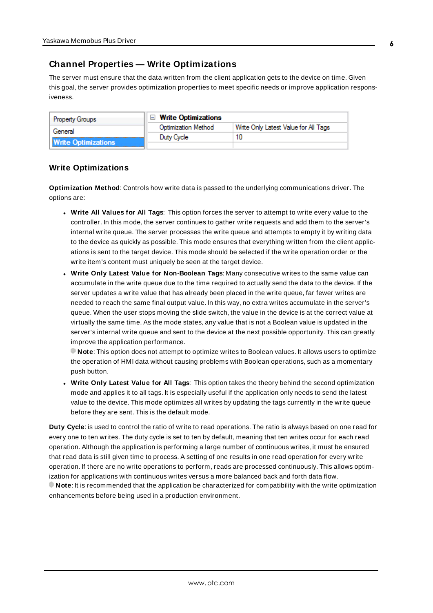## <span id="page-5-0"></span>**Channel Properties — Write Optimizations**

The server must ensure that the data written from the client application gets to the device on time. Given this goal, the server provides optimization properties to meet specific needs or improve application responsiveness.

| <b>Property Groups</b>     | $\Box$ Write Optimizations |                                      |
|----------------------------|----------------------------|--------------------------------------|
| General                    | <b>Optimization Method</b> | Write Only Latest Value for All Tags |
|                            | Duty Cycle                 |                                      |
| <b>Write Optimizations</b> |                            |                                      |

## **Write Optimizations**

**Optimization Method**: Controls how write data is passed to the underlying communications driver. The options are:

- <sup>l</sup> **Write All Values for All Tags**: This option forces the server to attempt to write every value to the controller. In this mode, the server continues to gather write requests and add them to the server's internal write queue. The server processes the write queue and attempts to empty it by writing data to the device as quickly as possible. This mode ensures that everything written from the client applications is sent to the target device. This mode should be selected if the write operation order or the write item's content must uniquely be seen at the target device.
- <sup>l</sup> **Write Only Latest Value for Non-Boolean Tags**: Many consecutive writes to the same value can accumulate in the write queue due to the time required to actually send the data to the device. If the server updates a write value that has already been placed in the write queue, far fewer writes are needed to reach the same final output value. In this way, no extra writes accumulate in the server's queue. When the user stops moving the slide switch, the value in the device is at the correct value at virtually the same time. As the mode states, any value that is not a Boolean value is updated in the server's internal write queue and sent to the device at the next possible opportunity. This can greatly improve the application performance.

**Note**: This option does not attempt to optimize writes to Boolean values. It allows users to optimize the operation of HMI data without causing problems with Boolean operations, such as a momentary push button.

**• Write Only Latest Value for All Tags**: This option takes the theory behind the second optimization mode and applies it to all tags. It is especially useful if the application only needs to send the latest value to the device. This mode optimizes all writes by updating the tags currently in the write queue before they are sent. This is the default mode.

**Duty Cycle**: is used to control the ratio of write to read operations. The ratio is always based on one read for every one to ten writes. The duty cycle is set to ten by default, meaning that ten writes occur for each read operation. Although the application is performing a large number of continuous writes, it must be ensured that read data is still given time to process. A setting of one results in one read operation for every write operation. If there are no write operations to perform, reads are processed continuously. This allows optimization for applications with continuous writes versus a more balanced back and forth data flow. **Note**: It is recommended that the application be characterized for compatibility with the write optimization enhancements before being used in a production environment.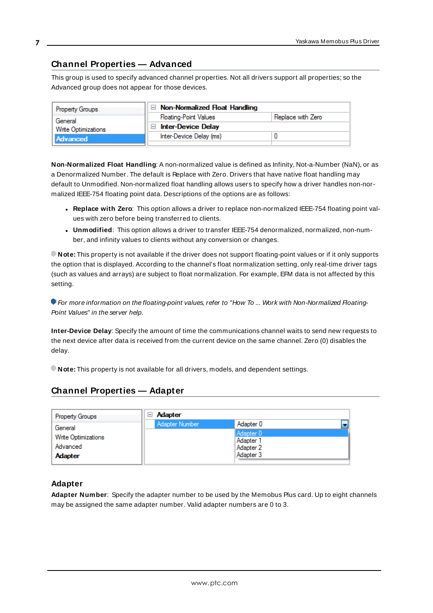## <span id="page-6-0"></span>**Channel Properties — Advanced**

This group is used to specify advanced channel properties. Not all drivers support all properties; so the Advanced group does not appear for those devices.

| <b>Property Groups</b>                            | $\Box$ Non-Normalized Float Handling |                   |
|---------------------------------------------------|--------------------------------------|-------------------|
| General<br><b>Write Optimizations</b><br>Advanced | <b>Floating-Point Values</b>         | Replace with Zero |
|                                                   | <b>Inter-Device Delay</b>            |                   |
|                                                   | Inter-Device Delay (ms)              |                   |
|                                                   |                                      |                   |

**Non-Normalized Float Handling**: A non-normalized value is defined as Infinity, Not-a-Number (NaN), or as a Denormalized Number. The default is Replace with Zero. Drivers that have native float handling may default to Unmodified. Non-normalized float handling allows users to specify how a driver handles non-normalized IEEE-754 floating point data. Descriptions of the options are as follows:

- <sup>l</sup> **Replace with Zero**: This option allows a driver to replace non-normalized IEEE-754 floating point values with zero before being transferred to clients.
- <sup>l</sup> **Unmodified**: This option allows a driver to transfer IEEE-754 denormalized, normalized, non-number, and infinity values to clients without any conversion or changes.

**Note:** This property is not available if the driver does not support floating-point values or if it only supports the option that is displayed. According to the channel's float normalization setting, only real-time driver tags (such as values and arrays) are subject to float normalization. For example, EFM data is not affected by this setting.

For more information on the floating-point values, refer to "How To ... Work with Non-Normalized Floating-Point Values" in the server help.

**Inter-Device Delay**: Specify the amount of time the communications channel waits to send new requests to the next device after data is received from the current device on the same channel. Zero (0) disables the delay.

<span id="page-6-1"></span>**Note:** This property is not available for all drivers, models, and dependent settings.

## **Channel Properties — Adapter**

| <b>Property Groups</b>                                   | <b>Adapter</b><br>H |                                                  |
|----------------------------------------------------------|---------------------|--------------------------------------------------|
| General                                                  | Adapter Number      | Adapter 0                                        |
| <b>Write Optimizations</b><br>Advanced<br><b>Adapter</b> |                     | Adapter 0<br>Adapter 1<br>Adapter 2<br>Adapter 3 |

## <span id="page-6-2"></span>**Adapter**

**Adapter Number**: Specify the adapter number to be used by the Memobus Plus card. Up to eight channels may be assigned the same adapter number. Valid adapter numbers are 0 to 3.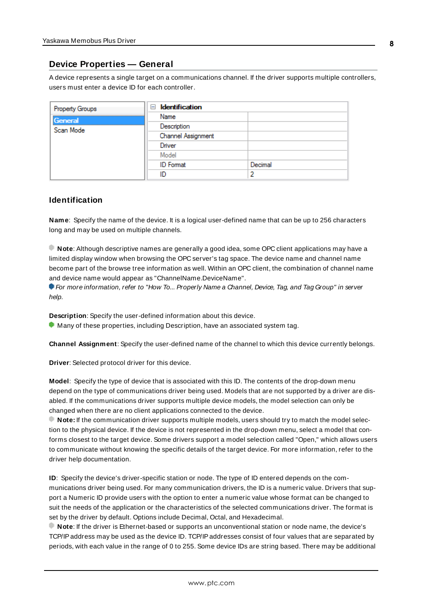## <span id="page-7-0"></span>**Device Properties — General**

A device represents a single target on a communications channel. If the driver supports multiple controllers, users must enter a device ID for each controller.

| <b>Property Groups</b> | <b>Identification</b><br>- |         |
|------------------------|----------------------------|---------|
| General                | Name                       |         |
| Scan Mode              | Description                |         |
|                        | Channel Assignment         |         |
|                        | Driver                     |         |
|                        | Model                      |         |
|                        | <b>ID</b> Format           | Decimal |
|                        | ID                         |         |

### <span id="page-7-5"></span>**Identification**

**Name**: Specify the name of the device. It is a logical user-defined name that can be up to 256 characters long and may be used on multiple channels.

**Note**: Although descriptive names are generally a good idea, some OPC client applications may have a limited display window when browsing the OPC server's tag space. The device name and channel name become part of the browse tree information as well. Within an OPC client, the combination of channel name and device name would appear as "ChannelName.DeviceName".

For more information, refer to "How To... Properly Name a Channel, Device, Tag, and Tag Group" in server help.

**Description**: Specify the user-defined information about this device.

<span id="page-7-1"></span>**Many of these properties, including Description, have an associated system tag.** 

<span id="page-7-2"></span>**Channel Assignment**: Specify the user-defined name of the channel to which this device currently belongs.

<span id="page-7-4"></span>**Driver**: Selected protocol driver for this device.

**Model**: Specify the type of device that is associated with this ID. The contents of the drop-down menu depend on the type of communications driver being used. Models that are not supported by a driver are disabled. If the communications driver supports multiple device models, the model selection can only be changed when there are no client applications connected to the device.

**Note:** If the communication driver supports multiple models, users should try to match the model selection to the physical device. If the device is not represented in the drop-down menu, select a model that conforms closest to the target device. Some drivers support a model selection called "Open," which allows users to communicate without knowing the specific details of the target device. For more information, refer to the driver help documentation.

<span id="page-7-3"></span>**ID**: Specify the device's driver-specific station or node. The type of ID entered depends on the communications driver being used. For many communication drivers, the ID is a numeric value. Drivers that support a Numeric ID provide users with the option to enter a numeric value whose format can be changed to suit the needs of the application or the characteristics of the selected communications driver. The format is set by the driver by default. Options include Decimal, Octal, and Hexadecimal.

**Note**: If the driver is Ethernet-based or supports an unconventional station or node name, the device's TCP/IPaddress may be used as the device ID. TCP/IPaddresses consist of four values that are separated by periods, with each value in the range of 0 to 255. Some device IDs are string based. There may be additional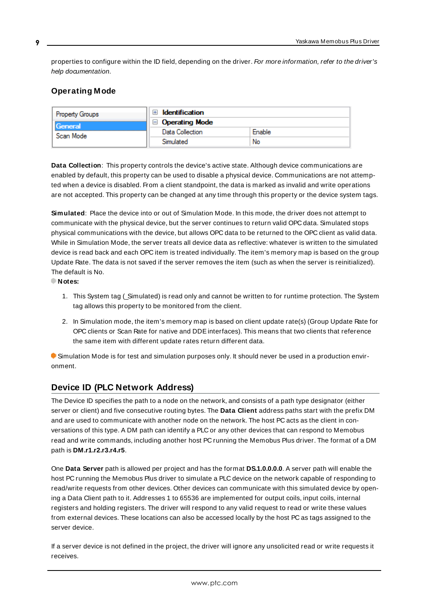properties to configure within the ID field, depending on the driver. For more information, refer to the driver's help documentation.

## <span id="page-8-0"></span>**Operating Mode**

| <b>Property Groups</b> | Identification        |        |
|------------------------|-----------------------|--------|
| General                | $\Box$ Operating Mode |        |
| Scan Mode              | Data Collection       | Enable |
|                        | Simulated             | No     |

<span id="page-8-2"></span>**Data Collection**: This property controls the device's active state. Although device communications are enabled by default, this property can be used to disable a physical device. Communications are not attempted when a device is disabled. From a client standpoint, the data is marked as invalid and write operations are not accepted. This property can be changed at any time through this property or the device system tags.

<span id="page-8-3"></span>**Simulated**: Place the device into or out of Simulation Mode. In this mode, the driver does not attempt to communicate with the physical device, but the server continues to return valid OPC data. Simulated stops physical communications with the device, but allows OPC data to be returned to the OPC client as valid data. While in Simulation Mode, the server treats all device data as reflective: whatever is written to the simulated device is read back and each OPC item is treated individually. The item's memory map is based on the group Update Rate. The data is not saved if the server removes the item (such as when the server is reinitialized). The default is No.

**Notes:**

- 1. This System tag (Simulated) is read only and cannot be written to for runtime protection. The System tag allows this property to be monitored from the client.
- 2. In Simulation mode, the item's memory map is based on client update rate(s) (Group Update Rate for OPC clients or Scan Rate for native and DDEinterfaces). This means that two clients that reference the same item with different update rates return different data.

 Simulation Mode is for test and simulation purposes only. It should never be used in a production environment.

## <span id="page-8-1"></span>**Device ID (PLC Network Address)**

The Device ID specifies the path to a node on the network, and consists of a path type designator (either server or client) and five consecutive routing bytes. The **Data Client** address paths start with the prefix DM and are used to communicate with another node on the network. The host PC acts as the client in conversations of this type. A DM path can identify a PLC or any other devices that can respond to Memobus read and write commands, including another host PC running the Memobus Plus driver. The format of a DM path is **DM.r1.r2.r3.r4.r5**.

One **Data Server** path is allowed per project and has the format **DS.1.0.0.0.0**. A server path will enable the host PC running the Memobus Plus driver to simulate a PLC device on the network capable of responding to read/write requests from other devices. Other devices can communicate with this simulated device by opening a Data Client path to it. Addresses 1 to 65536 are implemented for output coils, input coils, internal registers and holding registers. The driver will respond to any valid request to read or write these values from external devices. These locations can also be accessed locally by the host PC as tags assigned to the server device.

If a server device is not defined in the project, the driver will ignore any unsolicited read or write requests it receives.

**9**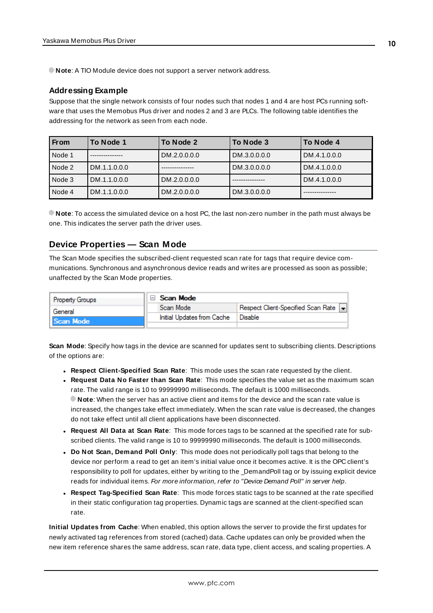**Note:** A TIO Module device does not support a server network address.

### **Addressing Example**

Suppose that the single network consists of four nodes such that nodes 1 and 4 are host PCs running software that uses the Memobus Plus driver and nodes 2 and 3 are PLCs. The following table identifies the addressing for the network as seen from each node.

| <b>From</b> | To Node 1    | To Node 2    | To Node 3    | To Node 4    |
|-------------|--------------|--------------|--------------|--------------|
| Node 1      |              | DM.2.0.0.0.0 | DM.3.0.0.0.0 | DM.4.1.0.0.0 |
| Node 2      | DM.1.1.0.0.0 |              | DM.3.0.0.0.0 | DM.4.1.0.0.0 |
| Node 3      | DM.1.1.0.0.0 | DM.2.0.0.0.0 |              | DM.4.1.0.0.0 |
| Node 4      | DM.1.1.0.0.0 | DM.2.0.0.0.0 | DM.3.0.0.0.0 |              |

**Note**: To access the simulated device on a host PC, the last non-zero number in the path must always be one. This indicates the server path the driver uses.

## <span id="page-9-0"></span>**Device Properties — Scan Mode**

The Scan Mode specifies the subscribed-client requested scan rate for tags that require device communications. Synchronous and asynchronous device reads and writes are processed as soon as possible; unaffected by the Scan Mode properties.

| <b>Property Groups</b> | Scan Mode                  |                                    |
|------------------------|----------------------------|------------------------------------|
| General                | Scan Mode                  | Respect Client-Specified Scan Rate |
| Scan Mode              | Initial Updates from Cache | Disable                            |
|                        |                            |                                    |

<span id="page-9-3"></span>**Scan Mode**: Specify how tags in the device are scanned for updates sent to subscribing clients. Descriptions of the options are:

- <sup>l</sup> **Respect Client-Specified Scan Rate**: This mode uses the scan rate requested by the client.
- <sup>l</sup> **Request Data No Faster than Scan Rate**: This mode specifies the value set as the maximum scan rate. The valid range is 10 to 99999990 milliseconds. The default is 1000 milliseconds. **Note**: When the server has an active client and items for the device and the scan rate value is increased, the changes take effect immediately. When the scan rate value is decreased, the changes do not take effect until all client applications have been disconnected.
- <sup>l</sup> **Request All Data at Scan Rate**: This mode forces tags to be scanned at the specified rate for subscribed clients. The valid range is 10 to 99999990 milliseconds. The default is 1000 milliseconds.
- <span id="page-9-1"></span><sup>l</sup> **Do Not Scan, Demand Poll Only**: This mode does not periodically poll tags that belong to the device nor perform a read to get an item's initial value once it becomes active. It is the OPC client's responsibility to poll for updates, either by writing to the \_DemandPoll tag or by issuing explicit device reads for individual items. For more information, refer to "Device Demand Poll" in server help.
- <span id="page-9-2"></span><sup>l</sup> **Respect Tag-Specified Scan Rate**: This mode forces static tags to be scanned at the rate specified in their static configuration tag properties. Dynamic tags are scanned at the client-specified scan rate.

**Initial Updates from Cache**: When enabled, this option allows the server to provide the first updates for newly activated tag references from stored (cached) data. Cache updates can only be provided when the new item reference shares the same address, scan rate, data type, client access, and scaling properties. A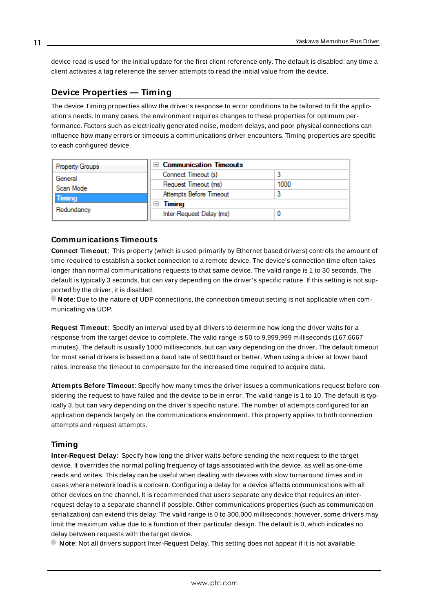<span id="page-10-4"></span>device read is used for the initial update for the first client reference only. The default is disabled; any time a client activates a tag reference the server attempts to read the initial value from the device.

## <span id="page-10-2"></span><span id="page-10-0"></span>**Device Properties — Timing**

The device Timing properties allow the driver's response to error conditions to be tailored to fit the application's needs. In many cases, the environment requires changes to these properties for optimum performance. Factors such as electrically generated noise, modem delays, and poor physical connections can influence how many errors or timeouts a communications driver encounters. Timing properties are specific to each configured device.

| Property Groups            | □ Communication Timeouts |      |
|----------------------------|--------------------------|------|
| General                    | Connect Timeout (s)      |      |
| Scan Mode<br><b>Timing</b> | Request Timeout (ms)     | 1000 |
|                            | Attempts Before Timeout  |      |
| Redundancy                 | Timing<br>-              |      |
|                            | Inter-Request Delay (ms) |      |

### <span id="page-10-3"></span>**Communications Timeouts**

**Connect Timeout**: This property (which is used primarily by Ethernet based drivers) controls the amount of time required to establish a socket connection to a remote device. The device's connection time often takes longer than normal communications requests to that same device. The valid range is 1 to 30 seconds. The default is typically 3 seconds, but can vary depending on the driver's specific nature. If this setting is not supported by the driver, it is disabled.

**Note**: Due to the nature of UDPconnections, the connection timeout setting is not applicable when communicating via UDP.

<span id="page-10-6"></span>**Request Timeout**: Specify an interval used by all drivers to determine how long the driver waits for a response from the target device to complete. The valid range is 50 to 9,999,999 milliseconds (167.6667 minutes). The default is usually 1000 milliseconds, but can vary depending on the driver. The default timeout for most serial drivers is based on a baud rate of 9600 baud or better. When using a driver at lower baud rates, increase the timeout to compensate for the increased time required to acquire data.

<span id="page-10-1"></span>**Attempts Before Timeout**: Specify how many times the driver issues a communications request before considering the request to have failed and the device to be in error. The valid range is 1 to 10. The default is typically 3, but can vary depending on the driver's specific nature. The number of attempts configured for an application depends largely on the communications environment. This property applies to both connection attempts and request attempts.

### <span id="page-10-5"></span>**Timing**

**Inter-Request Delay**: Specify how long the driver waits before sending the next request to the target device. It overrides the normal polling frequency of tags associated with the device, as well as one-time reads and writes. This delay can be useful when dealing with devices with slow turnaround times and in cases where network load is a concern. Configuring a delay for a device affects communications with all other devices on the channel. It is recommended that users separate any device that requires an interrequest delay to a separate channel if possible. Other communications properties (such as communication serialization) can extend this delay. The valid range is 0 to 300,000 milliseconds; however, some drivers may limit the maximum value due to a function of their particular design. The default is 0, which indicates no delay between requests with the target device.

**Note**: Not all drivers support Inter-Request Delay. This setting does not appear if it is not available.

**11**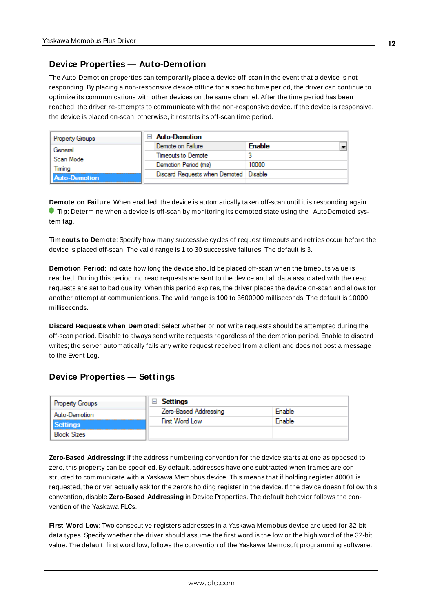## <span id="page-11-0"></span>**Device Properties — Auto-Demotion**

The Auto-Demotion properties can temporarily place a device off-scan in the event that a device is not responding. By placing a non-responsive device offline for a specific time period, the driver can continue to optimize its communications with other devices on the same channel. After the time period has been reached, the driver re-attempts to communicate with the non-responsive device. If the device is responsive, the device is placed on-scan; otherwise, it restarts its off-scan time period.

| <b>Property Groups</b> | $\Box$ Auto-Demotion                    |               |
|------------------------|-----------------------------------------|---------------|
| General                | Demote on Failure                       | <b>Enable</b> |
| Scan Mode              | Timeouts to Demote                      |               |
| Timina                 | Demotion Period (ms)                    | 10000         |
| <b>Auto-Demotion</b>   | Discard Requests when Demoted   Disable |               |
|                        |                                         |               |

<span id="page-11-2"></span>**Demote on Failure**: When enabled, the device is automatically taken off-scan until it is responding again. **Tip**: Determine when a device is off-scan by monitoring its demoted state using the AutoDemoted system tag.

<span id="page-11-5"></span>**Timeouts to Demote**: Specify how many successive cycles of request timeouts and retries occur before the device is placed off-scan. The valid range is 1 to 30 successive failures. The default is 3.

<span id="page-11-3"></span>**Demotion Period**: Indicate how long the device should be placed off-scan when the timeouts value is reached. During this period, no read requests are sent to the device and all data associated with the read requests are set to bad quality. When this period expires, the driver places the device on-scan and allows for another attempt at communications. The valid range is 100 to 3600000 milliseconds. The default is 10000 milliseconds.

<span id="page-11-4"></span>**Discard Requests when Demoted**: Select whether or not write requests should be attempted during the off-scan period. Disable to always send write requests regardless of the demotion period. Enable to discard writes; the server automatically fails any write request received from a client and does not post a message to the Event Log.

## <span id="page-11-1"></span>**Device Properties — Settings**

| <b>Property Groups</b> | Settings              |        |
|------------------------|-----------------------|--------|
| Auto-Demotion          | Zero-Based Addressing | Enable |
| <b>Settings</b>        | First Word Low        | Enable |
| <b>Block Sizes</b>     |                       |        |

**Zero-Based Addressing**: If the address numbering convention for the device starts at one as opposed to zero, this property can be specified. By default, addresses have one subtracted when frames are constructed to communicate with a Yaskawa Memobus device. This means that if holding register 40001 is requested, the driver actually ask for the zero's holding register in the device. If the device doesn't follow this convention, disable **Zero-Based Addressing** in Device Properties. The default behavior follows the convention of the Yaskawa PLCs.

**First Word Low**: Two consecutive registers addresses in a Yaskawa Memobus device are used for 32-bit data types. Specify whether the driver should assume the first word is the low or the high word of the 32-bit value. The default, first word low, follows the convention of the Yaskawa Memosoft programming software.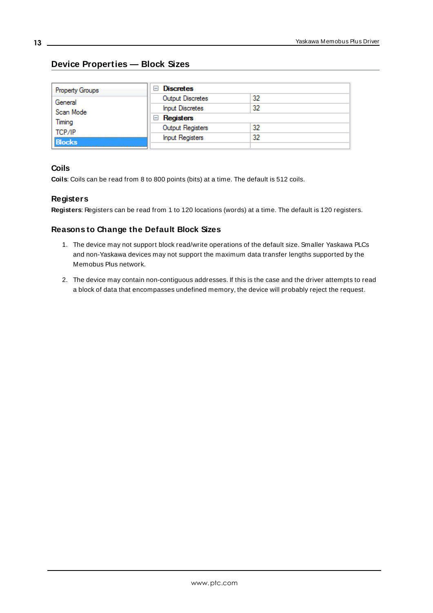## <span id="page-12-0"></span>**Device Properties — Block Sizes**

| Property Groups | <b>Discretes</b><br>$\overline{ }$ |    |
|-----------------|------------------------------------|----|
| General         | Output Discretes                   | 32 |
| Scan Mode       | <b>Input Discretes</b>             | 32 |
| Timing          | $\Box$ Registers                   |    |
| TCP/IP          | Output Registers                   | 32 |
| <b>Blocks</b>   | <b>Input Registers</b>             | 32 |
|                 |                                    |    |

## **Coils**

**Coils**: Coils can be read from 8 to 800 points (bits) at a time. The default is 512 coils.

## **Registers**

**Registers**: Registers can be read from 1 to 120 locations (words) at a time. The default is 120 registers.

## **Reasons to Change the Default Block Sizes**

- 1. The device may not support block read/write operations of the default size. Smaller Yaskawa PLCs and non-Yaskawa devices may not support the maximum data transfer lengths supported by the Memobus Plus network.
- 2. The device may contain non-contiguous addresses. If this is the case and the driver attempts to read a block of data that encompasses undefined memory, the device will probably reject the request.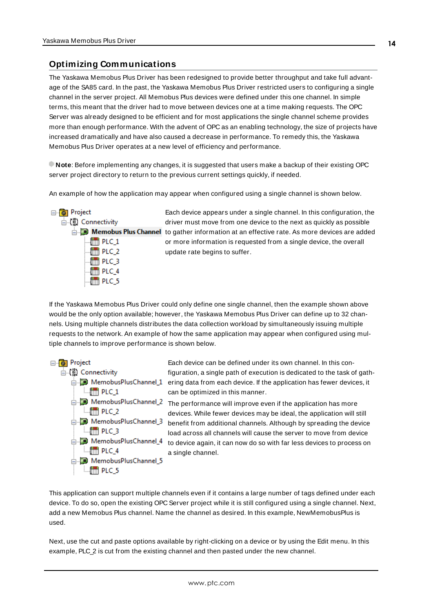## <span id="page-13-0"></span>**Optimizing Communications**

The Yaskawa Memobus Plus Driver has been redesigned to provide better throughput and take full advantage of the SA85 card. In the past, the Yaskawa Memobus Plus Driver restricted users to configuring a single channel in the server project. All Memobus Plus devices were defined under this one channel. In simple terms, this meant that the driver had to move between devices one at a time making requests. The OPC Server was already designed to be efficient and for most applications the single channel scheme provides more than enough performance. With the advent of OPC as an enabling technology, the size of projects have increased dramatically and have also caused a decrease in performance. To remedy this, the Yaskawa Memobus Plus Driver operates at a new level of efficiency and performance.

**Note**: Before implementing any changes, it is suggested that users make a backup of their existing OPC server project directory to return to the previous current settings quickly, if needed.

An example of how the application may appear when configured using a single channel is shown below.



Each device appears under a single channel. In this configuration, the driver must move from one device to the next as quickly as possible **the gather information at an effective rate.** As more devices are added or more information is requested from a single device, the overall update rate begins to suffer.

If the Yaskawa Memobus Plus Driver could only define one single channel, then the example shown above would be the only option available; however, the Yaskawa Memobus Plus Driver can define up to 32 channels. Using multiple channels distributes the data collection workload by simultaneously issuing multiple requests to the network. An example of how the same application may appear when configured using multiple channels to improve performance is shown below.



Each device can be defined under its own channel. In this configuration, a single path of execution is dedicated to the task of gath- $\dot{\boxdot}$ . MemobusPlusChannel 1 ering data from each device. If the application has fewer devices, it can be optimized in this manner.

 $\frac{1}{\Box}$  MemobusPlusChannel\_2 The performance will improve even if the application has more devices. While fewer devices may be ideal, the application will still benefit from additional channels. Although by spreading the device load across all channels will cause the server to move from device to device again, it can now do so with far less devices to process on a single channel.

This application can support multiple channels even if it contains a large number of tags defined under each device. To do so, open the existing OPC Server project while it is still configured using a single channel. Next, add a new Memobus Plus channel. Name the channel as desired. In this example, NewMemobusPlus is used.

Next, use the cut and paste options available by right-clicking on a device or by using the Edit menu. In this example, PLC\_2 is cut from the existing channel and then pasted under the new channel.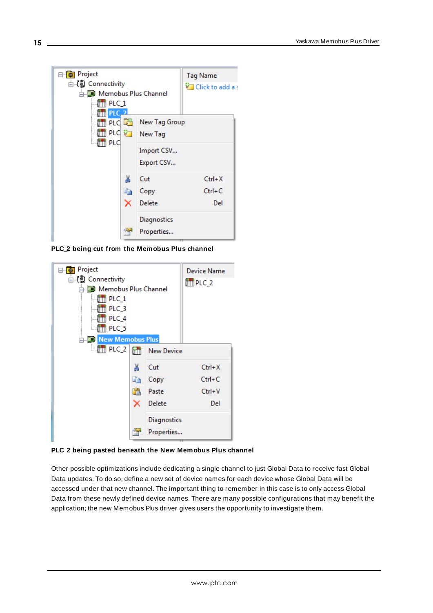

**PLC\_2 being cut from the Memobus Plus channel**



**PLC\_2 being pasted beneath the New Memobus Plus channel**

Other possible optimizations include dedicating a single channel to just Global Data to receive fast Global Data updates. To do so, define a new set of device names for each device whose Global Data will be accessed under that new channel. The important thing to remember in this case is to only access Global Data from these newly defined device names. There are many possible configurations that may benefit the application; the new Memobus Plus driver gives users the opportunity to investigate them.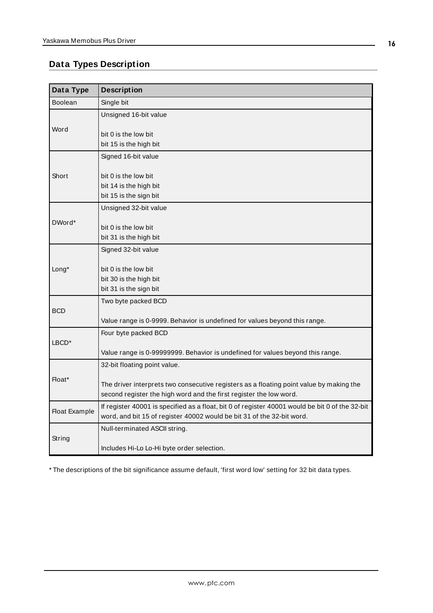# <span id="page-15-0"></span>**Data Types Description**

<span id="page-15-8"></span><span id="page-15-7"></span><span id="page-15-6"></span><span id="page-15-3"></span><span id="page-15-2"></span>

| Data Type            | <b>Description</b>                                                                                                                                                        |
|----------------------|---------------------------------------------------------------------------------------------------------------------------------------------------------------------------|
| <b>Boolean</b>       | Single bit                                                                                                                                                                |
|                      | Unsigned 16-bit value                                                                                                                                                     |
| Word                 | bit 0 is the low bit<br>bit 15 is the high bit                                                                                                                            |
|                      | Signed 16-bit value                                                                                                                                                       |
| Short                | bit 0 is the low bit<br>bit 14 is the high bit<br>bit 15 is the sign bit                                                                                                  |
|                      | Unsigned 32-bit value                                                                                                                                                     |
| DWord*               | bit 0 is the low bit<br>bit 31 is the high bit                                                                                                                            |
|                      | Signed 32-bit value                                                                                                                                                       |
| Long*                | bit 0 is the low bit<br>bit 30 is the high bit<br>bit 31 is the sign bit                                                                                                  |
|                      | Two byte packed BCD                                                                                                                                                       |
| <b>BCD</b>           | Value range is 0-9999. Behavior is undefined for values beyond this range.                                                                                                |
|                      | Four byte packed BCD                                                                                                                                                      |
| LBCD <sup>*</sup>    | Value range is 0-99999999. Behavior is undefined for values beyond this range.                                                                                            |
|                      | 32-bit floating point value.                                                                                                                                              |
| Float*               | The driver interprets two consecutive registers as a floating point value by making the<br>second register the high word and the first register the low word.             |
| <b>Float Example</b> | If register 40001 is specified as a float, bit 0 of register 40001 would be bit 0 of the 32-bit<br>word, and bit 15 of register 40002 would be bit 31 of the 32-bit word. |
|                      | Null-terminated ASCII string.                                                                                                                                             |
| String               | Includes Hi-Lo Lo-Hi byte order selection.                                                                                                                                |

<span id="page-15-5"></span><span id="page-15-4"></span><span id="page-15-1"></span>\* The descriptions of the bit significance assume default, 'first word low' setting for 32 bit data types.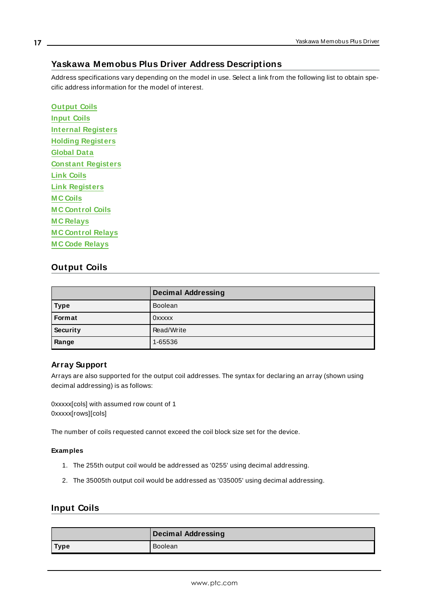## <span id="page-16-0"></span>**Yaskawa Memobus Plus Driver Address Descriptions**

Address specifications vary depending on the model in use. Select a link from the following list to obtain specific address information for the model of interest.

**[Output](#page-16-1) Coils [Input](#page-16-2) Coils Internal [Registers](#page-17-0) Holding [Registers](#page-18-0) [Global](#page-19-0) Data Constant [Registers](#page-20-0) Link [Coils](#page-21-0) Link [Registers](#page-22-0) M C [Coils](#page-23-0) M C [Control](#page-23-1) Coils M C [Relays](#page-24-0) M C [Control](#page-24-1) Relays M C Code [Relays](#page-24-1)**

## <span id="page-16-1"></span>**Output Coils**

|             | <b>Decimal Addressing</b> |
|-------------|---------------------------|
| <b>Type</b> | <b>Boolean</b>            |
| Format      | <b>OXXXXX</b>             |
| Security    | Read/Write                |
| Range       | 1-65536                   |

### **Array Support**

Arrays are also supported for the output coil addresses. The syntax for declaring an array (shown using decimal addressing) is as follows:

0xxxxx[cols] with assumed row count of 1 0xxxxx[rows][cols]

The number of coils requested cannot exceed the coil block size set for the device.

### **Examples**

- 1. The 255th output coil would be addressed as '0255' using decimal addressing.
- 2. The 35005th output coil would be addressed as '035005' using decimal addressing.

## <span id="page-16-2"></span>**Input Coils**

|             | Decimal Addressing |
|-------------|--------------------|
| <b>Type</b> | Boolean            |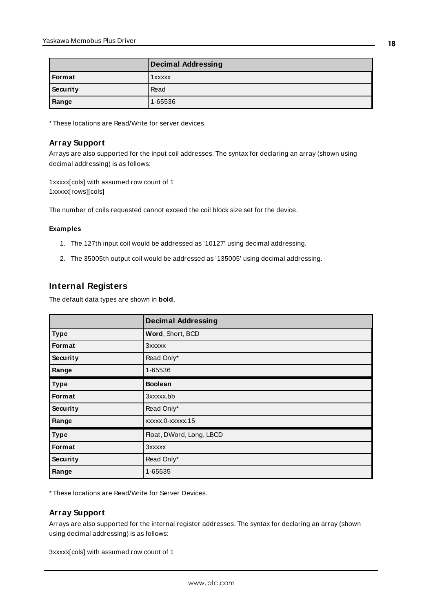|          | <b>Decimal Addressing</b> |
|----------|---------------------------|
| Format   | 1xxxxx                    |
| Security | Read                      |
| Range    | 1-65536                   |

\* These locations are Read/Write for server devices.

### **Array Support**

Arrays are also supported for the input coil addresses. The syntax for declaring an array (shown using decimal addressing) is as follows:

1xxxxx[cols] with assumed row count of 1 1xxxxx[rows][cols]

The number of coils requested cannot exceed the coil block size set for the device.

#### **Examples**

- 1. The 127th input coil would be addressed as '10127' using decimal addressing.
- 2. The 35005th output coil would be addressed as '135005' using decimal addressing.

## <span id="page-17-0"></span>**Internal Registers**

The default data types are shown in **bold**.

|               | <b>Decimal Addressing</b> |
|---------------|---------------------------|
| <b>Type</b>   | Word, Short, BCD          |
| <b>Format</b> | 3xxxxx                    |
| Security      | Read Only*                |
| Range         | 1-65536                   |
| <b>Type</b>   | <b>Boolean</b>            |
| Format        | 3xxxxx.bb                 |
| Security      | Read Only*                |
| Range         | xxxxx.0-xxxxx.15          |
| <b>Type</b>   | Float, DWord, Long, LBCD  |
| Format        | 3xxxxx                    |
| Security      | Read Only*                |
| Range         | 1-65535                   |

\* These locations are Read/Write for Server Devices.

### **Array Support**

Arrays are also supported for the internal register addresses. The syntax for declaring an array (shown using decimal addressing) is as follows:

3xxxxx[cols] with assumed row count of 1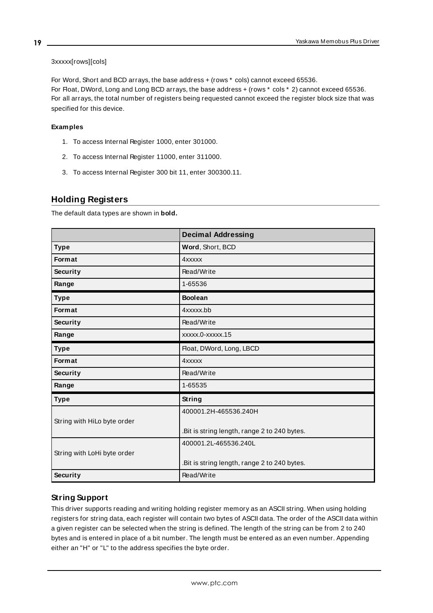### 3xxxxx[rows][cols]

For Word, Short and BCD arrays, the base address + (rows \* cols) cannot exceed 65536. For Float, DWord, Long and Long BCD arrays, the base address + (rows  $*$  cols  $*$  2) cannot exceed 65536. For all arrays, the total number of registers being requested cannot exceed the register block size that was specified for this device.

### **Examples**

- 1. To access Internal Register 1000, enter 301000.
- 2. To access Internal Register 11000, enter 311000.
- 3. To access Internal Register 300 bit 11, enter 300300.11.

# <span id="page-18-0"></span>**Holding Registers**

The default data types are shown in **bold.**

|                             | <b>Decimal Addressing</b>                    |
|-----------------------------|----------------------------------------------|
| <b>Type</b>                 | Word, Short, BCD                             |
| <b>Format</b>               | <b>4xxxxx</b>                                |
| <b>Security</b>             | Read/Write                                   |
| Range                       | 1-65536                                      |
| <b>Type</b>                 | <b>Boolean</b>                               |
| <b>Format</b>               | 4xxxxx.bb                                    |
| <b>Security</b>             | Read/Write                                   |
| Range                       | xxxxx.0-xxxxx.15                             |
| <b>Type</b>                 | Float, DWord, Long, LBCD                     |
| Format                      | <b>4xxxxx</b>                                |
| <b>Security</b>             | Read/Write                                   |
| Range                       | 1-65535                                      |
| <b>Type</b>                 | <b>String</b>                                |
|                             | 400001.2H-465536.240H                        |
| String with HiLo byte order |                                              |
|                             | .Bit is string length, range 2 to 240 bytes. |
|                             | 400001.2L-465536.240L                        |
| String with LoHi byte order |                                              |
|                             | .Bit is string length, range 2 to 240 bytes. |
| <b>Security</b>             | Read/Write                                   |

## <span id="page-18-1"></span>**String Support**

This driver supports reading and writing holding register memory as an ASCII string. When using holding registers for string data, each register will contain two bytes of ASCII data. The order of the ASCII data within a given register can be selected when the string is defined. The length of the string can be from 2 to 240 bytes and is entered in place of a bit number. The length must be entered as an even number. Appending either an "H" or "L" to the address specifies the byte order.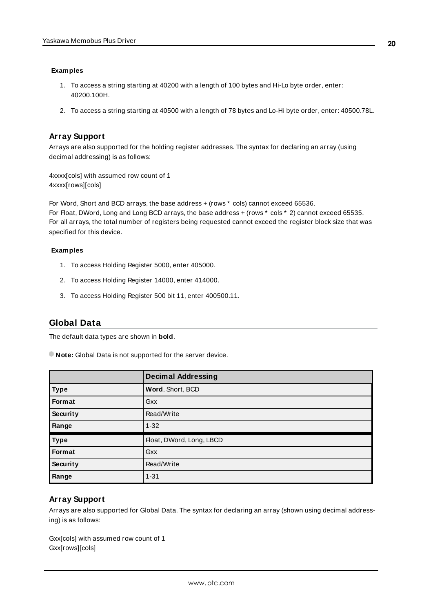### **Examples**

- 1. To access a string starting at 40200 with a length of 100 bytes and Hi-Lo byte order, enter: 40200.100H.
- 2. To access a string starting at 40500 with a length of 78 bytes and Lo-Hi byte order, enter: 40500.78L.

## **Array Support**

Arrays are also supported for the holding register addresses. The syntax for declaring an array (using decimal addressing) is as follows:

4xxxx[cols] with assumed row count of 1 4xxxx[rows][cols]

For Word, Short and BCD arrays, the base address + (rows \* cols) cannot exceed 65536. For Float, DWord, Long and Long BCD arrays, the base address + (rows \* cols \* 2) cannot exceed 65535. For all arrays, the total number of registers being requested cannot exceed the register block size that was specified for this device.

### **Examples**

- 1. To access Holding Register 5000, enter 405000.
- 2. To access Holding Register 14000, enter 414000.
- 3. To access Holding Register 500 bit 11, enter 400500.11.

## <span id="page-19-0"></span>**Global Data**

The default data types are shown in **bold**.

**Note:** Global Data is not supported for the server device.

|             | <b>Decimal Addressing</b> |
|-------------|---------------------------|
| <b>Type</b> | Word, Short, BCD          |
| Format      | Gxx                       |
| Security    | Read/Write                |
| Range       | $1 - 32$                  |
| <b>Type</b> | Float, DWord, Long, LBCD  |
| Format      | Gxx                       |
| Security    | Read/Write                |
| Range       | $1 - 31$                  |

## **Array Support**

Arrays are also supported for Global Data. The syntax for declaring an array (shown using decimal addressing) is as follows:

Gxx[cols] with assumed row count of 1 Gxx[rows][cols]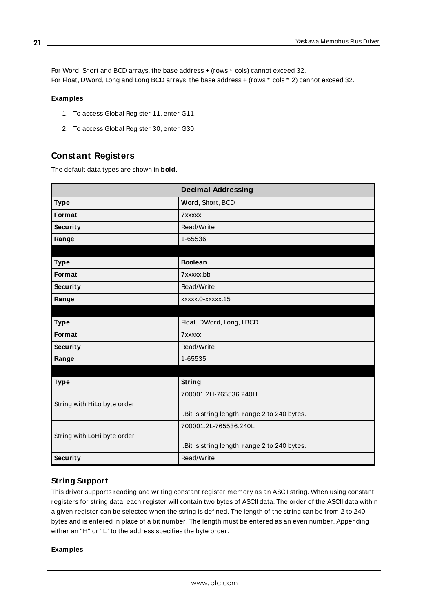For Word, Short and BCD arrays, the base address + (rows \* cols) cannot exceed 32. For Float, DWord, Long and Long BCD arrays, the base address + (rows \* cols \* 2) cannot exceed 32.

### **Examples**

- 1. To access Global Register 11, enter G11.
- 2. To access Global Register 30, enter G30.

## <span id="page-20-0"></span>**Constant Registers**

The default data types are shown in **bold**.

|                             | <b>Decimal Addressing</b>                    |
|-----------------------------|----------------------------------------------|
| <b>Type</b>                 | Word, Short, BCD                             |
| Format                      | 7xxxxx                                       |
| Security                    | Read/Write                                   |
| Range                       | 1-65536                                      |
|                             |                                              |
| <b>Type</b>                 | <b>Boolean</b>                               |
| Format                      | 7xxxxx.bb                                    |
| Security                    | Read/Write                                   |
| Range                       | xxxxx.0-xxxxx.15                             |
|                             |                                              |
| <b>Type</b>                 | Float, DWord, Long, LBCD                     |
| Format                      | 7xxxxx                                       |
| Security                    | Read/Write                                   |
| Range                       | 1-65535                                      |
|                             |                                              |
| <b>Type</b>                 | String                                       |
|                             | 700001.2H-765536.240H                        |
| String with HiLo byte order |                                              |
|                             | .Bit is string length, range 2 to 240 bytes. |
|                             | 700001.2L-765536.240L                        |
| String with LoHi byte order |                                              |
|                             | .Bit is string length, range 2 to 240 bytes. |
| <b>Security</b>             | Read/Write                                   |

## <span id="page-20-1"></span>**String Support**

This driver supports reading and writing constant register memory as an ASCII string. When using constant registers for string data, each register will contain two bytes of ASCII data. The order of the ASCII data within a given register can be selected when the string is defined. The length of the string can be from 2 to 240 bytes and is entered in place of a bit number. The length must be entered as an even number. Appending either an "H" or "L" to the address specifies the byte order.

### **Examples**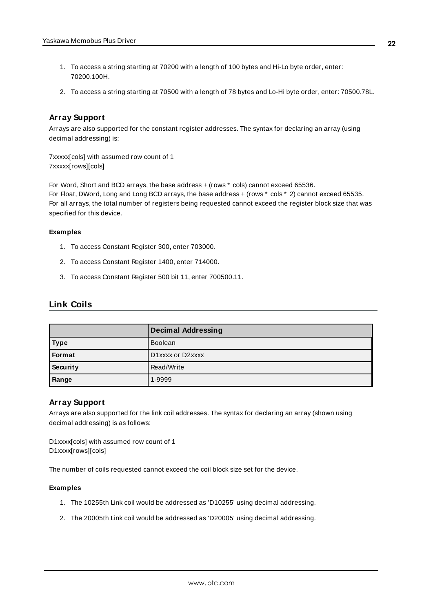- 1. To access a string starting at 70200 with a length of 100 bytes and Hi-Lo byte order, enter: 70200.100H.
- 2. To access a string starting at 70500 with a length of 78 bytes and Lo-Hi byte order, enter: 70500.78L.

### **Array Support**

Arrays are also supported for the constant register addresses. The syntax for declaring an array (using decimal addressing) is:

7xxxxx[cols] with assumed row count of 1 7xxxxx[rows][cols]

For Word, Short and BCD arrays, the base address + (rows \* cols) cannot exceed 65536. For Float, DWord, Long and Long BCD arrays, the base address + (rows  $*$  cols  $*$  2) cannot exceed 65535. For all arrays, the total number of registers being requested cannot exceed the register block size that was specified for this device.

### **Examples**

- 1. To access Constant Register 300, enter 703000.
- 2. To access Constant Register 1400, enter 714000.
- 3. To access Constant Register 500 bit 11, enter 700500.11.

## <span id="page-21-0"></span>**Link Coils**

|               | <b>Decimal Addressing</b> |
|---------------|---------------------------|
| <b>Type</b>   | <b>Boolean</b>            |
| <b>Format</b> | D1xxxx or D2xxxx          |
| Security      | Read/Write                |
| Range         | 1-9999                    |

### **Array Support**

Arrays are also supported for the link coil addresses. The syntax for declaring an array (shown using decimal addressing) is as follows:

D1xxxx[cols] with assumed row count of 1 D1xxxx[rows][cols]

The number of coils requested cannot exceed the coil block size set for the device.

#### **Examples**

- 1. The 10255th Link coil would be addressed as 'D10255' using decimal addressing.
- 2. The 20005th Link coil would be addressed as 'D20005' using decimal addressing.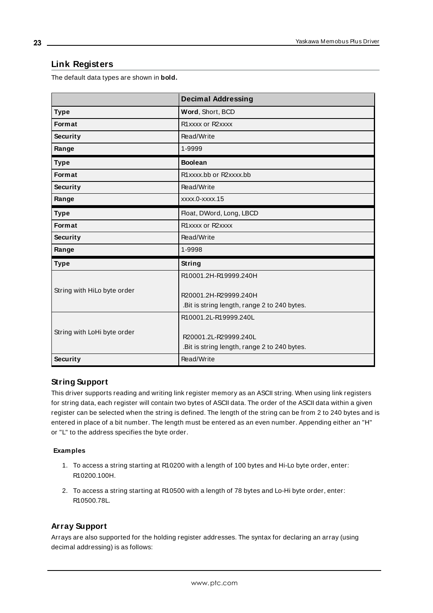## <span id="page-22-0"></span>**Link Registers**

The default data types are shown in **bold.**

|                             | <b>Decimal Addressing</b>                                                                      |
|-----------------------------|------------------------------------------------------------------------------------------------|
| <b>Type</b>                 | Word, Short, BCD                                                                               |
| <b>Format</b>               | R1xxxx or R2xxxx                                                                               |
| Security                    | Read/Write                                                                                     |
| Range                       | 1-9999                                                                                         |
| <b>Type</b>                 | <b>Boolean</b>                                                                                 |
| Format                      | R1xxxx.bb or R2xxxx.bb                                                                         |
| Security                    | Read/Write                                                                                     |
| Range                       | xxxx.0-xxxx.15                                                                                 |
| <b>Type</b>                 | Float, DWord, Long, LBCD                                                                       |
| <b>Format</b>               | R1xxxx or R2xxxx                                                                               |
| Security                    | Read/Write                                                                                     |
| Range                       | 1-9998                                                                                         |
| <b>Type</b>                 | <b>String</b>                                                                                  |
|                             | R10001.2H-R19999.240H                                                                          |
| String with HiLo byte order | R20001.2H-R29999.240H<br>. Bit is string length, range 2 to 240 bytes.                         |
| String with LoHi byte order | R10001.2L-R19999.240L<br>R20001.2L-R29999.240L<br>.Bit is string length, range 2 to 240 bytes. |
| <b>Security</b>             | Read/Write                                                                                     |

### <span id="page-22-1"></span>**String Support**

This driver supports reading and writing link register memory as an ASCII string. When using link registers for string data, each register will contain two bytes of ASCII data. The order of the ASCII data within a given register can be selected when the string is defined. The length of the string can be from 2 to 240 bytes and is entered in place of a bit number. The length must be entered as an even number. Appending either an "H" or "L" to the address specifies the byte order.

### **Examples**

- 1. To access a string starting at R10200 with a length of 100 bytes and Hi-Lo byte order, enter: R10200.100H.
- 2. To access a string starting at R10500 with a length of 78 bytes and Lo-Hi byte order, enter: R10500.78L.

### **Array Support**

Arrays are also supported for the holding register addresses. The syntax for declaring an array (using decimal addressing) is as follows: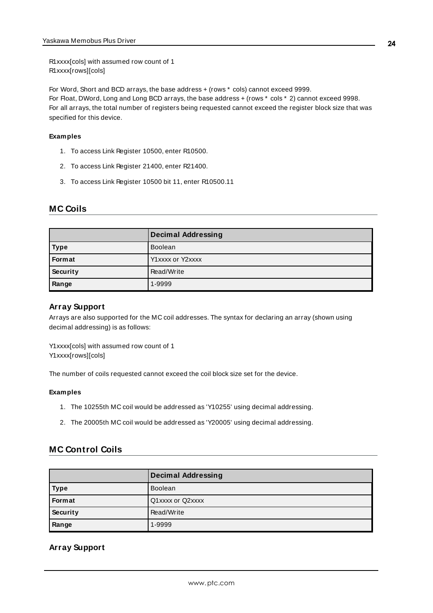R1xxxx[cols] with assumed row count of 1 R1xxxx[rows][cols]

For Word, Short and BCD arrays, the base address + (rows \* cols) cannot exceed 9999. For Float, DWord, Long and Long BCD arrays, the base address + (rows \* cols \* 2) cannot exceed 9998. For all arrays, the total number of registers being requested cannot exceed the register block size that was specified for this device.

### **Examples**

- 1. To access Link Register 10500, enter R10500.
- 2. To access Link Register 21400, enter R21400.
- 3. To access Link Register 10500 bit 11, enter R10500.11

## <span id="page-23-0"></span>**MC Coils**

|             | <b>Decimal Addressing</b> |
|-------------|---------------------------|
| <b>Type</b> | <b>Boolean</b>            |
| Format      | Y1xxxx or Y2xxxx          |
| Security    | Read/Write                |
| Range       | 1-9999                    |

## **Array Support**

Arrays are also supported for the MC coil addresses. The syntax for declaring an array (shown using decimal addressing) is as follows:

Y1xxxx[cols] with assumed row count of 1 Y1xxxx[rows][cols]

The number of coils requested cannot exceed the coil block size set for the device.

### **Examples**

- 1. The 10255th MC coil would be addressed as 'Y10255' using decimal addressing.
- 2. The 20005th MC coil would be addressed as 'Y20005' using decimal addressing.

## <span id="page-23-1"></span>**MC Control Coils**

|               | <b>Decimal Addressing</b> |
|---------------|---------------------------|
| <b>Type</b>   | <b>Boolean</b>            |
| <b>Format</b> | Q1xxxx or Q2xxxx          |
| Security      | Read/Write                |
| Range         | 1-9999                    |

## **Array Support**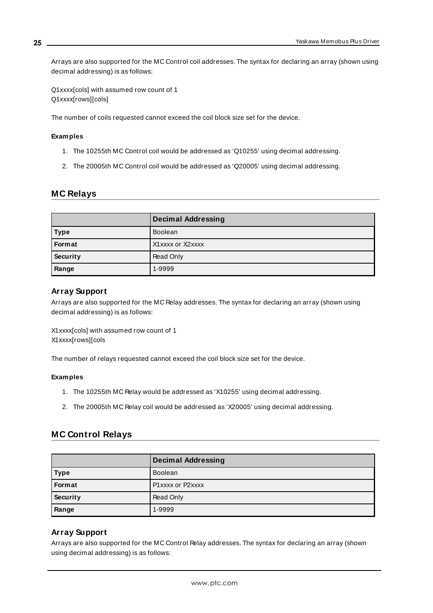Arrays are also supported for the MC Control coil addresses. The syntax for declaring an array (shown using decimal addressing) is as follows:

Q1xxxx[cols] with assumed row count of 1 Q1xxxx[rows][cols]

The number of coils requested cannot exceed the coil block size set for the device.

#### **Examples**

- 1. The 10255th MC Control coil would be addressed as 'Q10255' using decimal addressing.
- 2. The 20005th MC Control coil would be addressed as 'Q20005' using decimal addressing.

### <span id="page-24-0"></span>**MC Relays**

|               | Decimal Addressing |
|---------------|--------------------|
| <b>Type</b>   | <b>Boolean</b>     |
| <b>Format</b> | X1xxxx or X2xxxx   |
| Security      | Read Only          |
| Range         | 1-9999             |

### **Array Support**

Arrays are also supported for the MC Relay addresses. The syntax for declaring an array (shown using decimal addressing) is as follows:

X1xxxx[cols] with assumed row count of 1 X1xxxx[rows][cols

The number of relays requested cannot exceed the coil block size set for the device.

#### **Examples**

- 1. The 10255th MC Relay would be addressed as 'X10255' using decimal addressing.
- 2. The 20005th MC Relay coil would be addressed as 'X20005' using decimal addressing.

## <span id="page-24-1"></span>**MC Control Relays**

|             | <b>Decimal Addressing</b> |
|-------------|---------------------------|
| <b>Type</b> | <b>Boolean</b>            |
| Format      | P1xxxx or P2xxxx          |
| Security    | Read Only                 |
| Range       | 1-9999                    |

### **Array Support**

Arrays are also supported for the MC Control Relay addresses. The syntax for declaring an array (shown using decimal addressing) is as follows:

**25**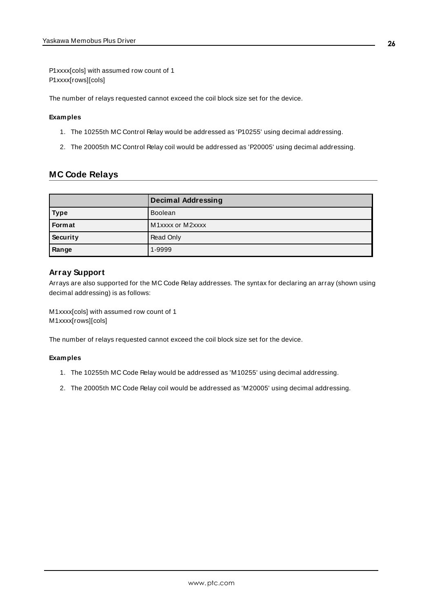P1xxxx[cols] with assumed row count of 1 P1xxxx[rows][cols]

The number of relays requested cannot exceed the coil block size set for the device.

### **Examples**

- 1. The 10255th MC Control Relay would be addressed as 'P10255' using decimal addressing.
- 2. The 20005th MC Control Relay coil would be addressed as 'P20005' using decimal addressing.

## <span id="page-25-0"></span>**MC Code Relays**

|               | <b>Decimal Addressing</b> |
|---------------|---------------------------|
| <b>Type</b>   | Boolean                   |
| <b>Format</b> | M1xxxx or M2xxxx          |
| Security      | Read Only                 |
| Range         | 1-9999                    |

### **Array Support**

Arrays are also supported for the MC Code Relay addresses. The syntax for declaring an array (shown using decimal addressing) is as follows:

M1xxxx[cols] with assumed row count of 1 M1xxxx[rows][cols]

The number of relays requested cannot exceed the coil block size set for the device.

### **Examples**

- 1. The 10255th MC Code Relay would be addressed as 'M10255' using decimal addressing.
- 2. The 20005th MC Code Relay coil would be addressed as 'M20005' using decimal addressing.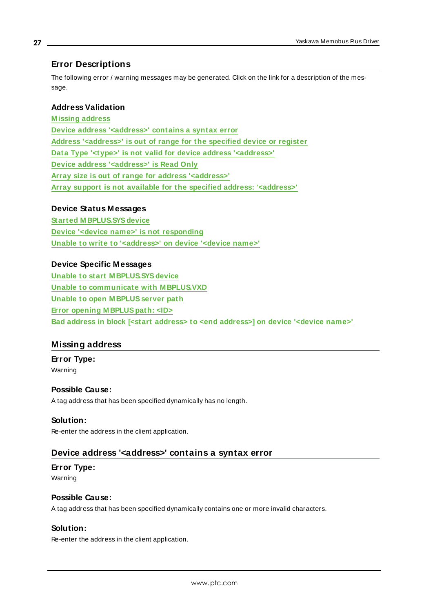## <span id="page-26-0"></span>**Error Descriptions**

The following error / warning messages may be generated. Click on the link for a description of the message.

## **Address Validation**

**[M issing](#page-26-1) address Device address ['<address>'](#page-26-2) contains a syntax error Address ['<address>'](#page-27-0) is out of range for the specified device or register Data Type '<type>' is not valid for device address ['<address>'](#page-27-1) Device address ['<address>'](#page-27-2) is Read Only Array size is out of range for address ['<address>'](#page-27-3) Array support is not available for the specified address: ['<address>'](#page-27-4)**

## **Device Status Messages**

**Started [M BPLUS.SYSdevice](#page-28-0) Device '<device name>' is not [responding](#page-28-1) Unable to write to ['<address>'](#page-28-2) on device '<device name>'**

## **Device Specific Messages**

**Unable to start [M BPLUS.SYSdevice](#page-29-0) Unable to communicate with [M BPLUS.VXD](#page-29-1) Unable to open [M BPLUSserver](#page-29-2) path Error opening [M BPLUSpath:](#page-30-0) <ID> Bad address in block [<start address> to <end [address>\]](#page-30-1) on device '<device name>'**

## <span id="page-26-1"></span>**Missing address**

**Error Type:** Warning

## **Possible Cause:**

A tag address that has been specified dynamically has no length.

### **Solution:**

<span id="page-26-2"></span>Re-enter the address in the client application.

## **Device address '<address>' contains a syntax error**

# **Error Type:**

Warning

## **Possible Cause:**

A tag address that has been specified dynamically contains one or more invalid characters.

## **Solution:**

Re-enter the address in the client application.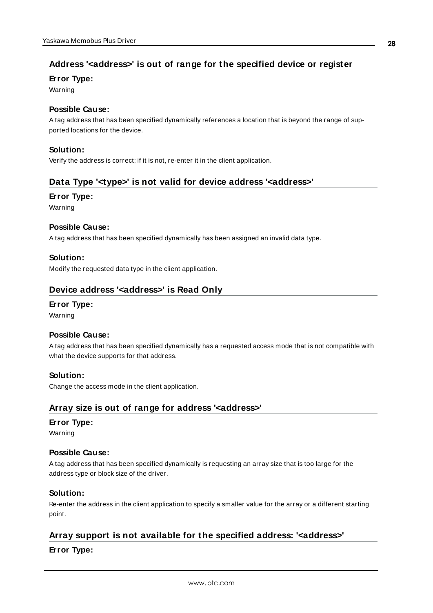## <span id="page-27-0"></span>**Address '<address>' is out of range for the specified device or register**

### **Error Type:**

Warning

### **Possible Cause:**

A tag address that has been specified dynamically references a location that is beyond the range of supported locations for the device.

### **Solution:**

<span id="page-27-1"></span>Verify the address is correct; if it is not, re-enter it in the client application.

## **Data Type '<type>' is not valid for device address '<address>'**

### **Error Type:**

Warning

### **Possible Cause:**

A tag address that has been specified dynamically has been assigned an invalid data type.

### **Solution:**

<span id="page-27-2"></span>Modify the requested data type in the client application.

## **Device address '<address>' is Read Only**

## **Error Type:**

Warning

### **Possible Cause:**

A tag address that has been specified dynamically has a requested access mode that is not compatible with what the device supports for that address.

### **Solution:**

<span id="page-27-3"></span>Change the access mode in the client application.

## **Array size is out of range for address '<address>'**

### **Error Type:**

Warning

### **Possible Cause:**

A tag address that has been specified dynamically is requesting an array size that is too large for the address type or block size of the driver.

### **Solution:**

Re-enter the address in the client application to specify a smaller value for the array or a different starting point.

## <span id="page-27-4"></span>**Array support is not available for the specified address: '<address>'**

## **Error Type:**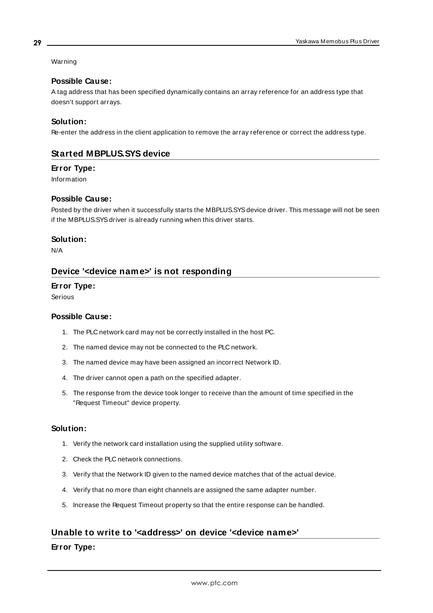## Warning

## **Possible Cause:**

A tag address that has been specified dynamically contains an array reference for an address type that doesn't support arrays.

## **Solution:**

<span id="page-28-0"></span>Re-enter the address in the client application to remove the array reference or correct the address type.

## **Started MBPLUS.SYS device**

### **Error Type:**

Information

## **Possible Cause:**

Posted by the driver when it successfully starts the MBPLUS.SYS device driver. This message will not be seen if the MBPLUS.SYS driver is already running when this driver starts.

### **Solution:**

<span id="page-28-1"></span>N/A

## **Device '<device name>' is not responding**

### **Error Type:**

Serious

### **Possible Cause:**

- 1. The PLC network card may not be correctly installed in the host PC.
- 2. The named device may not be connected to the PLC network.
- 3. The named device may have been assigned an incorrect Network ID.
- 4. The driver cannot open a path on the specified adapter.
- 5. The response from the device took longer to receive than the amount of time specified in the "Request Timeout" device property.

## **Solution:**

- 1. Verify the network card installation using the supplied utility software.
- 2. Check the PLC network connections.
- 3. Verify that the Network ID given to the named device matches that of the actual device.
- 4. Verify that no more than eight channels are assigned the same adapter number.
- 5. Increase the Request Timeout property so that the entire response can be handled.

## <span id="page-28-2"></span>**Unable to write to '<address>' on device '<device name>'**

### **Error Type:**

**29**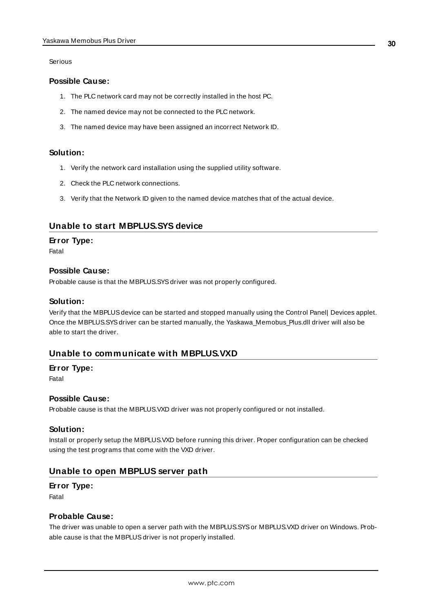Serious

### **Possible Cause:**

- 1. The PLC network card may not be correctly installed in the host PC.
- 2. The named device may not be connected to the PLC network.
- 3. The named device may have been assigned an incorrect Network ID.

### **Solution:**

- 1. Verify the network card installation using the supplied utility software.
- 2. Check the PLC network connections.
- 3. Verify that the Network ID given to the named device matches that of the actual device.

## <span id="page-29-0"></span>**Unable to start MBPLUS.SYS device**

### **Error Type:**

Fatal

### **Possible Cause:**

Probable cause is that the MBPLUS.SYS driver was not properly configured.

### **Solution:**

Verify that the MBPLUSdevice can be started and stopped manually using the Control Panel| Devices applet. Once the MBPLUS.SYS driver can be started manually, the Yaskawa\_Memobus\_Plus.dll driver will also be able to start the driver.

## <span id="page-29-1"></span>**Unable to communicate with MBPLUS.VXD**

### **Error Type:**

Fatal

### **Possible Cause:**

Probable cause is that the MBPLUS.VXD driver was not properly configured or not installed.

### **Solution:**

Install or properly setup the MBPLUS.VXD before running this driver. Proper configuration can be checked using the test programs that come with the VXD driver.

## <span id="page-29-2"></span>**Unable to open MBPLUS server path**

### **Error Type:**

Fatal

### **Probable Cause:**

The driver was unable to open a server path with the MBPLUS.SYSor MBPLUS.VXD driver on Windows. Probable cause is that the MBPLUS driver is not properly installed.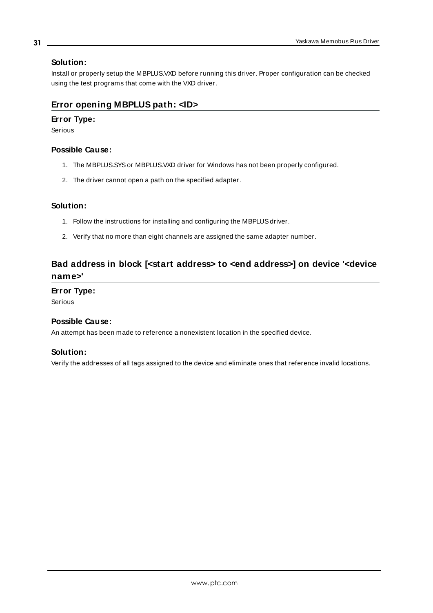## **Solution:**

Install or properly setup the MBPLUS.VXD before running this driver. Proper configuration can be checked using the test programs that come with the VXD driver.

## <span id="page-30-0"></span>**Error opening MBPLUS path: <ID>**

## **Error Type:**

Serious

## **Possible Cause:**

- 1. The MBPLUS.SYSor MBPLUS.VXD driver for Windows has not been properly configured.
- 2. The driver cannot open a path on the specified adapter.

### **Solution:**

- 1. Follow the instructions for installing and configuring the MBPLUS driver.
- 2. Verify that no more than eight channels are assigned the same adapter number.

# <span id="page-30-1"></span>**Bad address in block [<start address> to <end address>] on device '<device name>'**

## **Error Type:**

Serious

### **Possible Cause:**

An attempt has been made to reference a nonexistent location in the specified device.

### **Solution:**

Verify the addresses of all tags assigned to the device and eliminate ones that reference invalid locations.

## **31**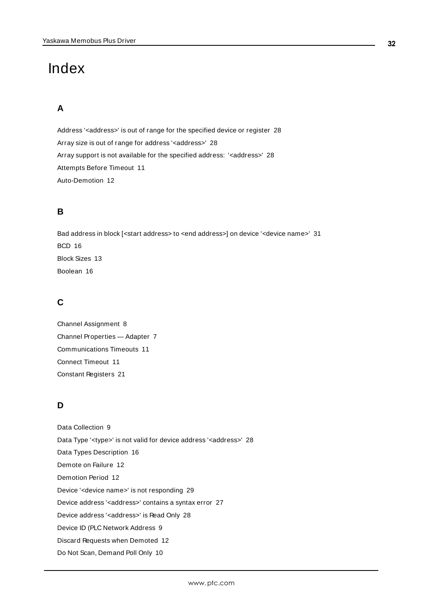# <span id="page-31-0"></span>Index

# **A**

Address '<address>' is out of range for the specified device or register [28](#page-27-0) Array size is out of range for address '<address>' [28](#page-27-3) Array support is not available for the specified address: '<address>' [28](#page-27-4) Attempts Before Timeout [11](#page-10-1) Auto-Demotion [12](#page-11-0)

# **B**

Bad address in block [<start address> to <end address>] on device '<device name>' [31](#page-30-1) BCD [16](#page-15-1) Block Sizes [13](#page-12-0) Boolean [16](#page-15-2)

## **C**

Channel Assignment [8](#page-7-1) Channel Properties — Adapter [7](#page-6-1) Communications Timeouts [11](#page-10-2) Connect Timeout [11](#page-10-3) Constant Registers [21](#page-20-0)

# **D**

Data Collection [9](#page-8-2) Data Type '<type>' is not valid for device address '<aaddress>' [28](#page-27-1) Data Types Description [16](#page-15-0) Demote on Failure [12](#page-11-2) Demotion Period [12](#page-11-3) Device '<device name>' is not responding [29](#page-28-1) Device address '< address>' contains a syntax error [27](#page-26-2) Device address '<address>' is Read Only [28](#page-27-2) Device ID (PLC Network Address [9](#page-8-1) Discard Requests when Demoted [12](#page-11-4) Do Not Scan, Demand Poll Only [10](#page-9-1)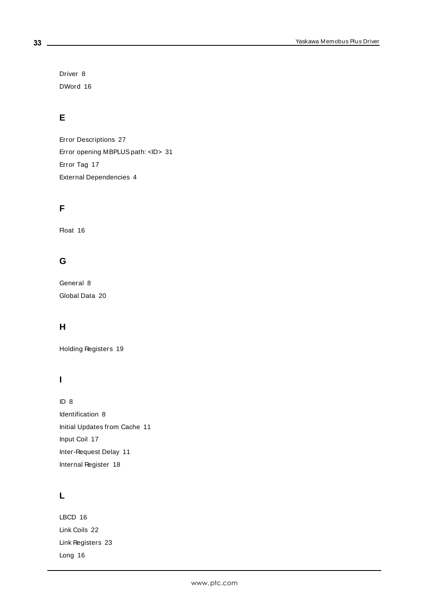Driver [8](#page-7-2) DWord [16](#page-15-3)

# **E**

Error Descriptions [27](#page-26-0) Error opening MBPLUSpath: <ID> [31](#page-30-0) Error Tag [17](#page-16-0) External Dependencies [4](#page-3-2)

# **F**

Float [16](#page-15-4)

# **G**

General [8](#page-7-0) Global Data [20](#page-19-0)

# **H**

Holding Registers [19](#page-18-0)

# **I**

ID [8](#page-7-3) Identification [8](#page-7-0) Initial Updates from Cache [11](#page-10-4) Input Coil [17](#page-16-2) Inter-Request Delay [11](#page-10-5) Internal Register [18](#page-17-0)

# **L**

LBCD [16](#page-15-5) Link Coils [22](#page-21-0) Link Registers [23](#page-22-0) Long [16](#page-15-6)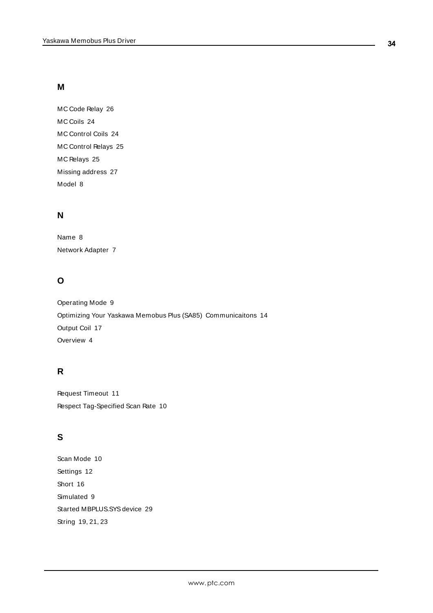## **M**

MC Code Relay [26](#page-25-0) MC Coils [24](#page-23-0) MC Control Coils [24](#page-23-1) MC Control Relays [25](#page-24-1) MC Relays [25](#page-24-0) Missing address [27](#page-26-1) Model [8](#page-7-4)

## **N**

Name [8](#page-7-5) Network Adapter [7](#page-6-2)

# **O**

Operating Mode [9](#page-8-0) Optimizing Your Yaskawa Memobus Plus (SA85) Communicaitons [14](#page-13-0) Output Coil [17](#page-16-1) Overview [4](#page-3-1)

# **R**

Request Timeout [11](#page-10-6) Respect Tag-Specified Scan Rate [10](#page-9-2)

# **S**

Scan Mode [10](#page-9-3) Settings [12](#page-11-1) Short [16](#page-15-7) Simulated [9](#page-8-3) Started MBPLUS.SYS device [29](#page-28-0) String [19](#page-18-1), [21,](#page-20-1) [23](#page-22-1)